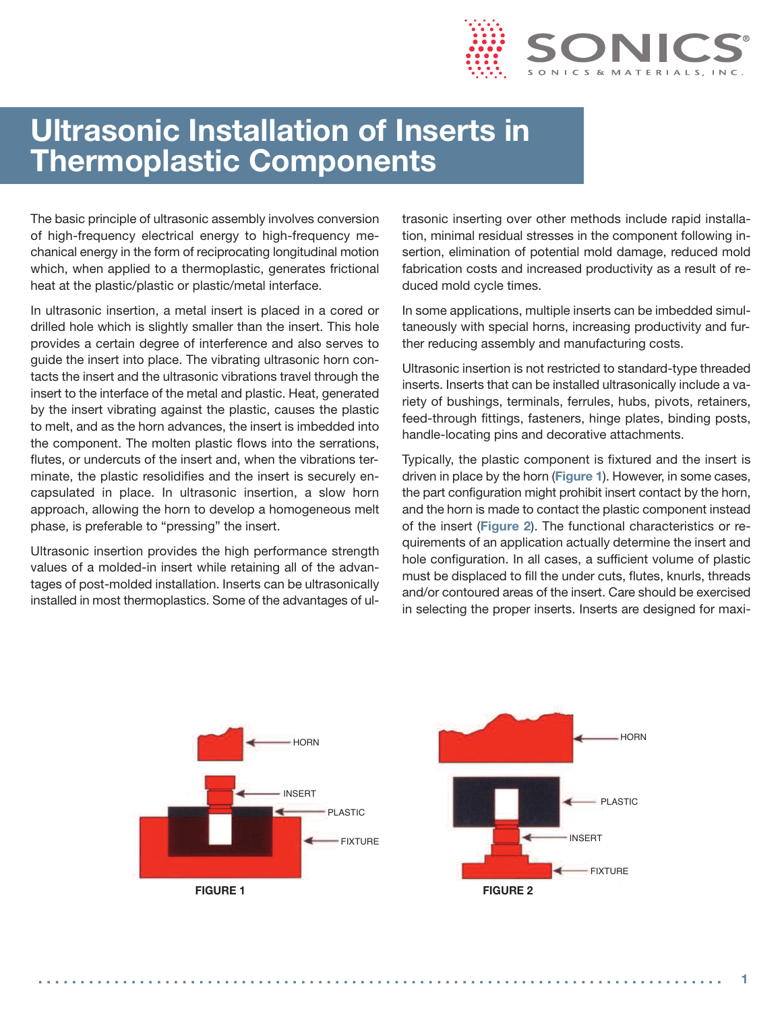

# **Ultrasonic Installation of Inserts in Thermoplastic Components**

The basic principle of ultrasonic assembly involves conversion of high-frequency electrical energy to high-frequency mechanical energy in the form of reciprocating longitudinal motion which, when applied to a thermoplastic, generates frictional heat at the plastic/plastic or plastic/metal interface.

In ultrasonic insertion, a metal insert is placed in a cored or drilled hole which is slightly smaller than the insert. This hole provides a certain degree of interference and also serves to guide the insert into place. The vibrating ultrasonic horn contacts the insert and the ultrasonic vibrations travel through the insert to the interface of the metal and plastic. Heat, generated by the insert vibrating against the plastic, causes the plastic to melt, and as the horn advances, the insert is imbedded into the component. The molten plastic flows into the serrations, flutes, or undercuts of the insert and, when the vibrations terminate, the plastic resolidifies and the insert is securely encapsulated in place. In ultrasonic insertion, a slow horn approach, allowing the horn to develop a homogeneous melt phase, is preferable to "pressing" the insert.

Ultrasonic insertion provides the high performance strength values of a molded-in insert while retaining all of the advantages of post-molded installation. Inserts can be ultrasonically installed in most thermoplastics. Some of the advantages of ultrasonic inserting over other methods include rapid installation, minimal residual stresses in the component following insertion, elimination of potential mold damage, reduced mold fabrication costs and increased productivity as a result of reduced mold cycle times.

In some applications, multiple inserts can be imbedded simultaneously with special horns, increasing productivity and further reducing assembly and manufacturing costs.

Ultrasonic insertion is not restricted to standard-type threaded inserts. Inserts that can be installed ultrasonically include a variety of bushings, terminals, ferrules, hubs, pivots, retainers, feed-through fittings, fasteners, hinge plates, binding posts, handle-locating pins and decorative attachments.

Typically, the plastic component is fixtured and the insert is driven in place by the horn (**Figure 1**). However, in some cases, the part configuration might prohibit insert contact by the horn, and the horn is made to contact the plastic component instead of the insert (**Figure 2**). The functional characteristics or requirements of an application actually determine the insert and hole configuration. In all cases, a sufficient volume of plastic must be displaced to fill the under cuts, flutes, knurls, threads and/or contoured areas of the insert. Care should be exercised in selecting the proper inserts. Inserts are designed for maxi-

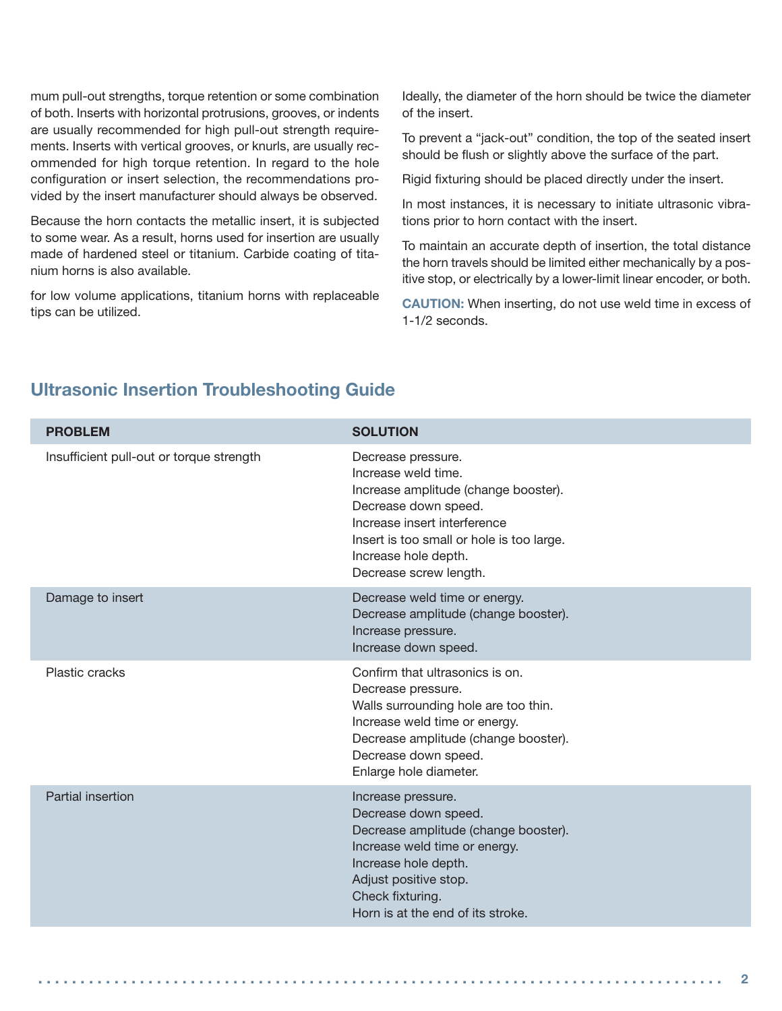mum pull-out strengths, torque retention or some combination of both. Inserts with horizontal protrusions, grooves, or indents are usually recommended for high pull-out strength requirements. Inserts with vertical grooves, or knurls, are usually recommended for high torque retention. In regard to the hole configuration or insert selection, the recommendations provided by the insert manufacturer should always be observed.

Because the horn contacts the metallic insert, it is subjected to some wear. As a result, horns used for insertion are usually made of hardened steel or titanium. Carbide coating of titanium horns is also available.

for low volume applications, titanium horns with replaceable tips can be utilized.

Ideally, the diameter of the horn should be twice the diameter of the insert.

To prevent a "jack-out" condition, the top of the seated insert should be flush or slightly above the surface of the part.

Rigid fixturing should be placed directly under the insert.

In most instances, it is necessary to initiate ultrasonic vibrations prior to horn contact with the insert.

To maintain an accurate depth of insertion, the total distance the horn travels should be limited either mechanically by a positive stop, or electrically by a lower-limit linear encoder, or both.

**CAUTION:** When inserting, do not use weld time in excess of 1-1/2 seconds.

| <b>PROBLEM</b>                           | <b>SOLUTION</b>                                                                                                                                                                                                                          |
|------------------------------------------|------------------------------------------------------------------------------------------------------------------------------------------------------------------------------------------------------------------------------------------|
| Insufficient pull-out or torque strength | Decrease pressure.<br>Increase weld time.<br>Increase amplitude (change booster).<br>Decrease down speed.<br>Increase insert interference<br>Insert is too small or hole is too large.<br>Increase hole depth.<br>Decrease screw length. |
| Damage to insert                         | Decrease weld time or energy.<br>Decrease amplitude (change booster).<br>Increase pressure.<br>Increase down speed.                                                                                                                      |
| Plastic cracks                           | Confirm that ultrasonics is on.<br>Decrease pressure.<br>Walls surrounding hole are too thin.<br>Increase weld time or energy.<br>Decrease amplitude (change booster).<br>Decrease down speed.<br>Enlarge hole diameter.                 |
| Partial insertion                        | Increase pressure.<br>Decrease down speed.<br>Decrease amplitude (change booster).<br>Increase weld time or energy.<br>Increase hole depth.<br>Adjust positive stop.<br>Check fixturing.<br>Horn is at the end of its stroke.            |

### **Ultrasonic Insertion Troubleshooting Guide**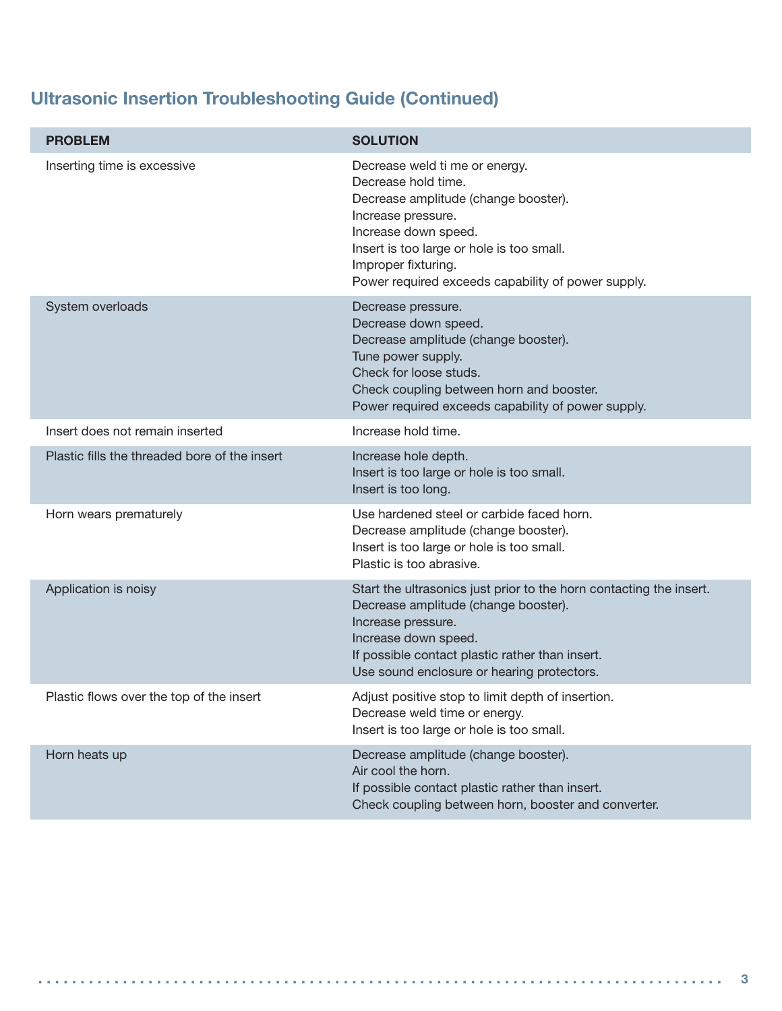## **Ultrasonic Insertion Troubleshooting Guide (Continued)**

| <b>PROBLEM</b>                                | <b>SOLUTION</b>                                                                                                                                                                                                                                                       |
|-----------------------------------------------|-----------------------------------------------------------------------------------------------------------------------------------------------------------------------------------------------------------------------------------------------------------------------|
| Inserting time is excessive                   | Decrease weld ti me or energy.<br>Decrease hold time.<br>Decrease amplitude (change booster).<br>Increase pressure.<br>Increase down speed.<br>Insert is too large or hole is too small.<br>Improper fixturing.<br>Power required exceeds capability of power supply. |
| System overloads                              | Decrease pressure.<br>Decrease down speed.<br>Decrease amplitude (change booster).<br>Tune power supply.<br>Check for loose studs.<br>Check coupling between horn and booster.<br>Power required exceeds capability of power supply.                                  |
| Insert does not remain inserted               | Increase hold time.                                                                                                                                                                                                                                                   |
| Plastic fills the threaded bore of the insert | Increase hole depth.<br>Insert is too large or hole is too small.<br>Insert is too long.                                                                                                                                                                              |
| Horn wears prematurely                        | Use hardened steel or carbide faced horn.<br>Decrease amplitude (change booster).<br>Insert is too large or hole is too small.<br>Plastic is too abrasive.                                                                                                            |
| Application is noisy                          | Start the ultrasonics just prior to the horn contacting the insert.<br>Decrease amplitude (change booster).<br>Increase pressure.<br>Increase down speed.<br>If possible contact plastic rather than insert.<br>Use sound enclosure or hearing protectors.            |
| Plastic flows over the top of the insert      | Adjust positive stop to limit depth of insertion.<br>Decrease weld time or energy.<br>Insert is too large or hole is too small.                                                                                                                                       |
| Horn heats up                                 | Decrease amplitude (change booster).<br>Air cool the horn.<br>If possible contact plastic rather than insert.<br>Check coupling between horn, booster and converter.                                                                                                  |